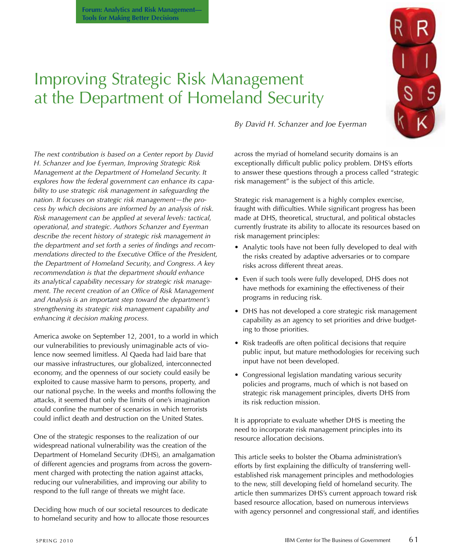

# Improving Strategic Risk Management at the Department of Homeland Security

*The next contribution is based on a Center report by David H. Schanzer and Joe Eyerman, Improving Strategic Risk Management at the Department of Homeland Security. It explores how the federal government can enhance its capability to use strategic risk management in safeguarding the nation. It focuses on strategic risk management—the process by which decisions are informed by an analysis of risk. Risk management can be applied at several levels: tactical, operational, and strategic. Authors Schanzer and Eyerman describe the recent history of strategic risk management in the department and set forth a series of findings and recommendations directed to the Executive Office of the President, the Department of Homeland Security, and Congress. A key recommendation is that the department should enhance its analytical capability necessary for strategic risk management. The recent creation of an Office of Risk Management and Analysis is an important step toward the department's strengthening its strategic risk management capability and enhancing it decision making process.* 

America awoke on September 12, 2001, to a world in which our vulnerabilities to previously unimaginable acts of violence now seemed limitless. Al Qaeda had laid bare that our massive infrastructures, our globalized, interconnected economy, and the openness of our society could easily be exploited to cause massive harm to persons, property, and our national psyche. in the weeks and months following the attacks, it seemed that only the limits of one's imagination could confine the number of scenarios in which terrorists could inflict death and destruction on the United States.

One of the strategic responses to the realization of our widespread national vulnerability was the creation of the Department of Homeland Security (DHS), an amalgamation of different agencies and programs from across the government charged with protecting the nation against attacks, reducing our vulnerabilities, and improving our ability to respond to the full range of threats we might face.

Deciding how much of our societal resources to dedicate to homeland security and how to allocate those resources *By David H. Schanzer and Joe Eyerman*

across the myriad of homeland security domains is an exceptionally difficult public policy problem. DHS's efforts to answer these questions through a process called "strategic risk management" is the subject of this article.

Strategic risk management is a highly complex exercise, fraught with difficulties. While significant progress has been made at DHS, theoretical, structural, and political obstacles currently frustrate its ability to allocate its resources based on risk management principles:

- Analytic tools have not been fully developed to deal with the risks created by adaptive adversaries or to compare risks across different threat areas.
- Even if such tools were fully developed, DHS does not have methods for examining the effectiveness of their programs in reducing risk.
- DHS has not developed a core strategic risk management capability as an agency to set priorities and drive budgeting to those priorities.
- Risk tradeoffs are often political decisions that require public input, but mature methodologies for receiving such input have not been developed.
- Congressional legislation mandating various security policies and programs, much of which is not based on strategic risk management principles, diverts DHS from its risk reduction mission.

it is appropriate to evaluate whether DHS is meeting the need to incorporate risk management principles into its resource allocation decisions.

This article seeks to bolster the Obama administration's efforts by first explaining the difficulty of transferring wellestablished risk management principles and methodologies to the new, still developing field of homeland security. The article then summarizes DHS's current approach toward risk based resource allocation, based on numerous interviews with agency personnel and congressional staff, and identifies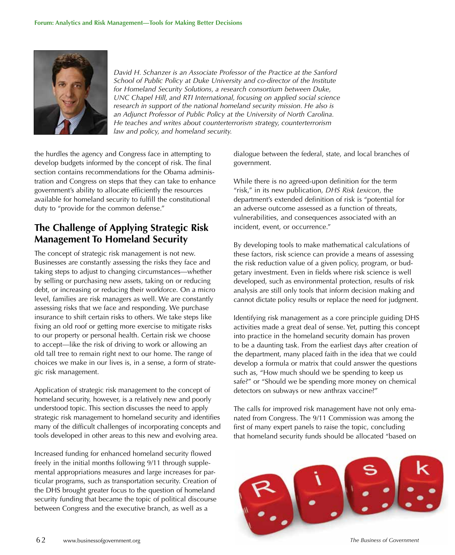

*David H. Schanzer is an Associate Professor of the Practice at the Sanford School of Public Policy at Duke University and co-director of the Institute for Homeland Security Solutions, a research consortium between Duke, UNC Chapel Hill, and RTI International, focusing on applied social science*  research in support of the national homeland security mission. He also is *an Adjunct Professor of Public Policy at the University of North Carolina. He teaches and writes about counterterrorism strategy, counterterrorism law and policy, and homeland security.*

the hurdles the agency and Congress face in attempting to develop budgets informed by the concept of risk. The final section contains recommendations for the Obama administration and Congress on steps that they can take to enhance government's ability to allocate efficiently the resources available for homeland security to fulfill the constitutional duty to "provide for the common defense."

### **The Challenge of Applying Strategic Risk Management To Homeland Security**

The concept of strategic risk management is not new. Businesses are constantly assessing the risks they face and taking steps to adjust to changing circumstances—whether by selling or purchasing new assets, taking on or reducing debt, or increasing or reducing their workforce. On a micro level, families are risk managers as well. We are constantly assessing risks that we face and responding. We purchase insurance to shift certain risks to others. We take steps like fixing an old roof or getting more exercise to mitigate risks to our property or personal health. Certain risk we choose to accept—like the risk of driving to work or allowing an old tall tree to remain right next to our home. The range of choices we make in our lives is, in a sense, a form of strategic risk management.

Application of strategic risk management to the concept of homeland security, however, is a relatively new and poorly understood topic. This section discusses the need to apply strategic risk management to homeland security and identifies many of the difficult challenges of incorporating concepts and tools developed in other areas to this new and evolving area.

increased funding for enhanced homeland security flowed freely in the initial months following 9/11 through supplemental appropriations measures and large increases for particular programs, such as transportation security. Creation of the DHS brought greater focus to the question of homeland security funding that became the topic of political discourse between Congress and the executive branch, as well as a

dialogue between the federal, state, and local branches of government.

While there is no agreed-upon definition for the term "risk," in its new publication, *DHS Risk Lexicon,* the department's extended definition of risk is "potential for an adverse outcome assessed as a function of threats, vulnerabilities, and consequences associated with an incident, event, or occurrence."

By developing tools to make mathematical calculations of these factors, risk science can provide a means of assessing the risk reduction value of a given policy, program, or budgetary investment. Even in fields where risk science is well developed, such as environmental protection, results of risk analysis are still only tools that inform decision making and cannot dictate policy results or replace the need for judgment.

identifying risk management as a core principle guiding DHS activities made a great deal of sense. Yet, putting this concept into practice in the homeland security domain has proven to be a daunting task. From the earliest days after creation of the department, many placed faith in the idea that we could develop a formula or matrix that could answer the questions such as, "How much should we be spending to keep us safe?" or "Should we be spending more money on chemical detectors on subways or new anthrax vaccine?"

The calls for improved risk management have not only emanated from Congress. The 9/11 Commission was among the first of many expert panels to raise the topic, concluding that homeland security funds should be allocated "based on

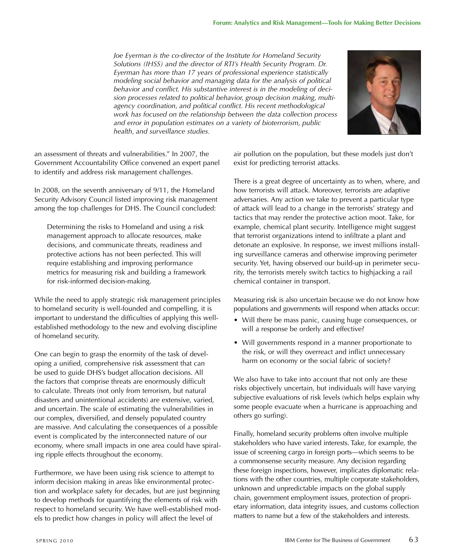*Joe Eyerman is the co-director of the Institute for Homeland Security Solutions (IHSS) and the director of RTI's Health Security Program. Dr. Eyerman has more than 17 years of professional experience statistically modeling social behavior and managing data for the analysis of political behavior and conflict. His substantive interest is in the modeling of decision processes related to political behavior, group decision making, multiagency coordination, and political conflict. His recent methodological work has focused on the relationship between the data collection process and error in population estimates on a variety of bioterrorism, public health, and surveillance studies.*



an assessment of threats and vulnerabilities." in 2007, the Government Accountability Office convened an expert panel to identify and address risk management challenges.

in 2008, on the seventh anniversary of 9/11, the Homeland Security Advisory Council listed improving risk management among the top challenges for DHS. The Council concluded:

Determining the risks to Homeland and using a risk management approach to allocate resources, make decisions, and communicate threats, readiness and protective actions has not been perfected. This will require establishing and improving performance metrics for measuring risk and building a framework for risk-informed decision-making.

While the need to apply strategic risk management principles to homeland security is well-founded and compelling, it is important to understand the difficulties of applying this wellestablished methodology to the new and evolving discipline of homeland security.

One can begin to grasp the enormity of the task of developing a unified, comprehensive risk assessment that can be used to guide DHS's budget allocation decisions. All the factors that comprise threats are enormously difficult to calculate. Threats (not only from terrorism, but natural disasters and unintentional accidents) are extensive, varied, and uncertain. The scale of estimating the vulnerabilities in our complex, diversified, and densely populated country are massive. And calculating the consequences of a possible event is complicated by the interconnected nature of our economy, where small impacts in one area could have spiraling ripple effects throughout the economy.

Furthermore, we have been using risk science to attempt to inform decision making in areas like environmental protection and workplace safety for decades, but are just beginning to develop methods for quantifying the elements of risk with respect to homeland security. We have well-established models to predict how changes in policy will affect the level of

air pollution on the population, but these models just don't exist for predicting terrorist attacks.

There is a great degree of uncertainty as to when, where, and how terrorists will attack. Moreover, terrorists are adaptive adversaries. Any action we take to prevent a particular type of attack will lead to a change in the terrorists' strategy and tactics that may render the protective action moot. Take, for example, chemical plant security. intelligence might suggest that terrorist organizations intend to infiltrate a plant and detonate an explosive. in response, we invest millions installing surveillance cameras and otherwise improving perimeter security. Yet, having observed our build-up in perimeter security, the terrorists merely switch tactics to highjacking a rail chemical container in transport.

Measuring risk is also uncertain because we do not know how populations and governments will respond when attacks occur:

- Will there be mass panic, causing huge consequences, or will a response be orderly and effective?
- Will governments respond in a manner proportionate to the risk, or will they overreact and inflict unnecessary harm on economy or the social fabric of society?

We also have to take into account that not only are these risks objectively uncertain, but individuals will have varying subjective evaluations of risk levels (which helps explain why some people evacuate when a hurricane is approaching and others go surfing).

Finally, homeland security problems often involve multiple stakeholders who have varied interests. Take, for example, the issue of screening cargo in foreign ports—which seems to be a commonsense security measure. Any decision regarding these foreign inspections, however, implicates diplomatic relations with the other countries, multiple corporate stakeholders, unknown and unpredictable impacts on the global supply chain, government employment issues, protection of proprietary information, data integrity issues, and customs collection matters to name but a few of the stakeholders and interests.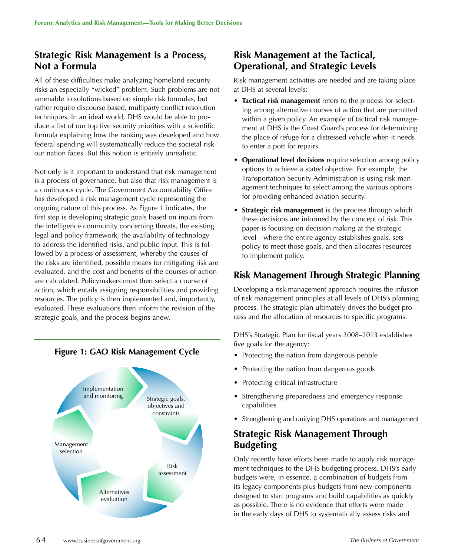### **Strategic Risk Management Is a Process, Not a Formula**

All of these difficulties make analyzing homeland-security risks an especially "wicked" problem. Such problems are not amenable to solutions based on simple risk formulas, but rather require discourse based, multiparty conflict resolution techniques. in an ideal world, DHS would be able to produce a list of our top five security priorities with a scientific formula explaining how the ranking was developed and how federal spending will systematically reduce the societal risk our nation faces. But this notion is entirely unrealistic.

Not only is it important to understand that risk management is a process of governance, but also that risk management is a continuous cycle. The Government Accountability Office has developed a risk management cycle representing the ongoing nature of this process. As Figure 1 indicates, the first step is developing strategic goals based on inputs from the intelligence community concerning threats, the existing legal and policy framework, the availability of technology to address the identified risks, and public input. This is followed by a process of assessment, whereby the causes of the risks are identified, possible means for mitigating risk are evaluated, and the cost and benefits of the courses of action are calculated. policymakers must then select a course of action, which entails assigning responsibilities and providing resources. The policy is then implemented and, importantly, evaluated. These evaluations then inform the revision of the strategic goals, and the process begins anew.

## Strategic goals, objectives and constraints Risk assessment Alternatives evaluation Management selection Implementation and monitoring

**Figure 1: GAO Risk Management Cycle**

### **Risk Management at the Tactical, Operational, and Strategic Levels**

Risk management activities are needed and are taking place at DHS at several levels:

- **Tactical risk management** refers to the process for selecting among alternative courses of action that are permitted within a given policy. An example of tactical risk management at DHS is the Coast Guard's process for determining the place of refuge for a distressed vehicle when it needs to enter a port for repairs.
- **Operational level decisions** require selection among policy options to achieve a stated objective. For example, the Transportation Security Administration is using risk management techniques to select among the various options for providing enhanced aviation security.
- **Strategic risk management** is the process through which these decisions are informed by the concept of risk. This paper is focusing on decision making at the strategic level—where the entire agency establishes goals, sets policy to meet those goals, and then allocates resources to implement policy.

### **Risk Management Through Strategic Planning**

Developing a risk management approach requires the infusion of risk management principles at all levels of DHS's planning process. The strategic plan ultimately drives the budget process and the allocation of resources to specific programs.

DHS's Strategic plan for fiscal years 2008–2013 establishes five goals for the agency:

- Protecting the nation from dangerous people
- Protecting the nation from dangerous goods
- protecting critical infrastructure
- Strengthening preparedness and emergency response capabilities
- Strengthening and unifying DHS operations and management

### **Strategic Risk Management Through Budgeting**

Only recently have efforts been made to apply risk management techniques to the DHS budgeting process. DHS's early budgets were, in essence, a combination of budgets from its legacy components plus budgets from new components designed to start programs and build capabilities as quickly as possible. There is no evidence that efforts were made in the early days of DHS to systematically assess risks and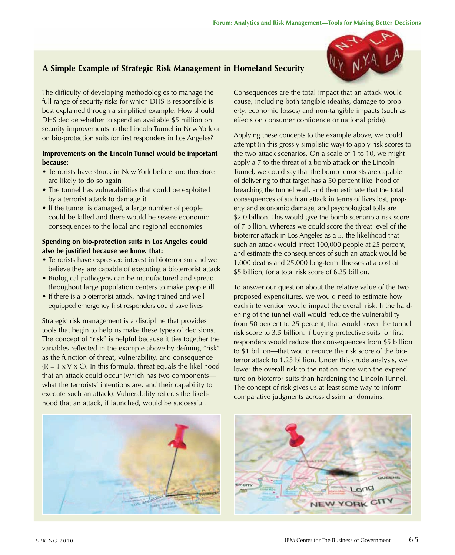### **A Simple Example of Strategic Risk Management in Homeland Security**

The difficulty of developing methodologies to manage the full range of security risks for which DHS is responsible is best explained through a simplified example: How should DHS decide whether to spend an available \$5 million on security improvements to the Lincoln Tunnel in New York or on bio-protection suits for first responders in Los Angeles?

#### **Improvements on the Lincoln Tunnel would be important because:**

- Terrorists have struck in New York before and therefore are likely to do so again
- The tunnel has vulnerabilities that could be exploited by a terrorist attack to damage it
- if the tunnel is damaged, a large number of people could be killed and there would be severe economic consequences to the local and regional economies

#### **Spending on bio-protection suits in Los Angeles could also be justified because we know that:**

- Terrorists have expressed interest in bioterrorism and we believe they are capable of executing a bioterrorist attack
- Biological pathogens can be manufactured and spread throughout large population centers to make people ill
- if there is a bioterrorist attack, having trained and well equipped emergency first responders could save lives

Strategic risk management is a discipline that provides tools that begin to help us make these types of decisions. The concept of "risk" is helpful because it ties together the variables reflected in the example above by defining "risk" as the function of threat, vulnerability, and consequence  $(R = T \times V \times C)$ . In this formula, threat equals the likelihood that an attack could occur (which has two components what the terrorists' intentions are, and their capability to execute such an attack). Vulnerability reflects the likelihood that an attack, if launched, would be successful.

Consequences are the total impact that an attack would cause, including both tangible (deaths, damage to property, economic losses) and non-tangible impacts (such as effects on consumer confidence or national pride).

Applying these concepts to the example above, we could attempt (in this grossly simplistic way) to apply risk scores to the two attack scenarios. On a scale of 1 to 10, we might apply a 7 to the threat of a bomb attack on the Lincoln Tunnel, we could say that the bomb terrorists are capable of delivering to that target has a 50 percent likelihood of breaching the tunnel wall, and then estimate that the total consequences of such an attack in terms of lives lost, property and economic damage, and psychological tolls are \$2.0 billion. This would give the bomb scenario a risk score of 7 billion. Whereas we could score the threat level of the bioterror attack in Los Angeles as a 5, the likelihood that such an attack would infect 100,000 people at 25 percent, and estimate the consequences of such an attack would be 1,000 deaths and 25,000 long-term illnesses at a cost of \$5 billion, for a total risk score of 6.25 billion.

To answer our question about the relative value of the two proposed expenditures, we would need to estimate how each intervention would impact the overall risk. if the hardening of the tunnel wall would reduce the vulnerability from 50 percent to 25 percent, that would lower the tunnel risk score to 3.5 billion. if buying protective suits for first responders would reduce the consequences from \$5 billion to \$1 billion—that would reduce the risk score of the bioterror attack to 1.25 billion. Under this crude analysis, we lower the overall risk to the nation more with the expenditure on bioterror suits than hardening the Lincoln Tunnel. The concept of risk gives us at least some way to inform comparative judgments across dissimilar domains.



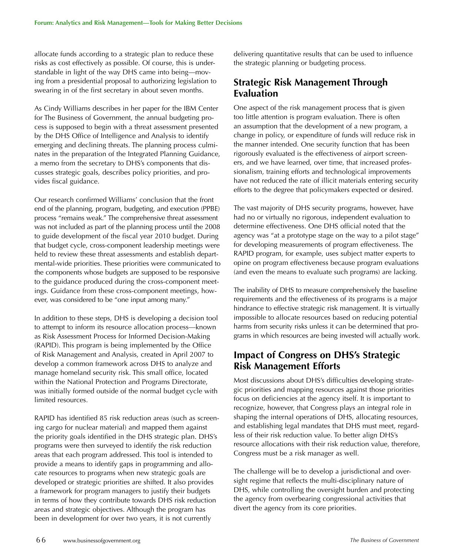allocate funds according to a strategic plan to reduce these risks as cost effectively as possible. Of course, this is understandable in light of the way DHS came into being—moving from a presidential proposal to authorizing legislation to swearing in of the first secretary in about seven months.

As Cindy Williams describes in her paper for the iBM Center for The Business of Government, the annual budgeting process is supposed to begin with a threat assessment presented by the DHS Office of intelligence and Analysis to identify emerging and declining threats. The planning process culminates in the preparation of the Integrated Planning Guidance, a memo from the secretary to DHS's components that discusses strategic goals, describes policy priorities, and provides fiscal guidance.

Our research confirmed Williams' conclusion that the front end of the planning, program, budgeting, and execution (PPBE) process "remains weak." The comprehensive threat assessment was not included as part of the planning process until the 2008 to guide development of the fiscal year 2010 budget. During that budget cycle, cross-component leadership meetings were held to review these threat assessments and establish departmental-wide priorities. These priorities were communicated to the components whose budgets are supposed to be responsive to the guidance produced during the cross-component meetings. Guidance from these cross-component meetings, however, was considered to be "one input among many."

in addition to these steps, DHS is developing a decision tool to attempt to inform its resource allocation process—known as Risk Assessment Process for Informed Decision-Making (RAPID). This program is being implemented by the Office of Risk Management and Analysis, created in April 2007 to develop a common framework across DHS to analyze and manage homeland security risk. This small office, located within the National Protection and Programs Directorate, was initially formed outside of the normal budget cycle with limited resources.

RAPID has identified 85 risk reduction areas (such as screening cargo for nuclear material) and mapped them against the priority goals identified in the DHS strategic plan. DHS's programs were then surveyed to identify the risk reduction areas that each program addressed. This tool is intended to provide a means to identify gaps in programming and allocate resources to programs when new strategic goals are developed or strategic priorities are shifted. it also provides a framework for program managers to justify their budgets in terms of how they contribute towards DHS risk reduction areas and strategic objectives. Although the program has been in development for over two years, it is not currently

delivering quantitative results that can be used to influence the strategic planning or budgeting process.

### **Strategic Risk Management Through Evaluation**

One aspect of the risk management process that is given too little attention is program evaluation. There is often an assumption that the development of a new program, a change in policy, or expenditure of funds will reduce risk in the manner intended. One security function that has been rigorously evaluated is the effectiveness of airport screeners, and we have learned, over time, that increased professionalism, training efforts and technological improvements have not reduced the rate of illicit materials entering security efforts to the degree that policymakers expected or desired.

The vast majority of DHS security programs, however, have had no or virtually no rigorous, independent evaluation to determine effectiveness. One DHS official noted that the agency was "at a prototype stage on the way to a pilot stage" for developing measurements of program effectiveness. The RAPID program, for example, uses subject matter experts to opine on program effectiveness because program evaluations (and even the means to evaluate such programs) are lacking.

The inability of DHS to measure comprehensively the baseline requirements and the effectiveness of its programs is a major hindrance to effective strategic risk management. it is virtually impossible to allocate resources based on reducing potential harms from security risks unless it can be determined that programs in which resources are being invested will actually work.

### **Impact of Congress on DHS's Strategic Risk Management Efforts**

Most discussions about DHS's difficulties developing strategic priorities and mapping resources against those priorities focus on deficiencies at the agency itself. it is important to recognize, however, that Congress plays an integral role in shaping the internal operations of DHS, allocating resources, and establishing legal mandates that DHS must meet, regardless of their risk reduction value. To better align DHS's resource allocations with their risk reduction value, therefore, Congress must be a risk manager as well.

The challenge will be to develop a jurisdictional and oversight regime that reflects the multi-disciplinary nature of DHS, while controlling the oversight burden and protecting the agency from overbearing congressional activities that divert the agency from its core priorities.